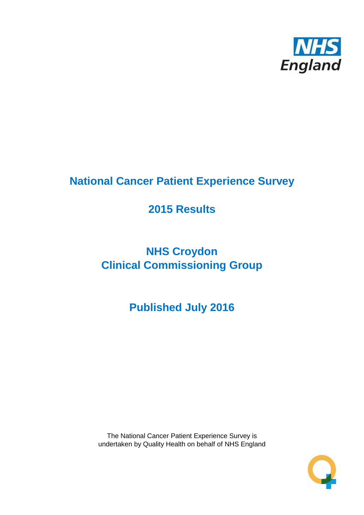

# **National Cancer Patient Experience Survey**

# **2015 Results**

# **NHS Croydon Clinical Commissioning Group**

**Published July 2016**

The National Cancer Patient Experience Survey is undertaken by Quality Health on behalf of NHS England

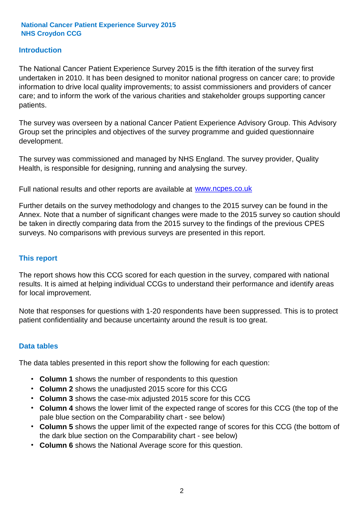#### **Introduction**

The National Cancer Patient Experience Survey 2015 is the fifth iteration of the survey first undertaken in 2010. It has been designed to monitor national progress on cancer care; to provide information to drive local quality improvements; to assist commissioners and providers of cancer care; and to inform the work of the various charities and stakeholder groups supporting cancer patients.

The survey was overseen by a national Cancer Patient Experience Advisory Group. This Advisory Group set the principles and objectives of the survey programme and guided questionnaire development.

The survey was commissioned and managed by NHS England. The survey provider, Quality Health, is responsible for designing, running and analysing the survey.

Full national results and other reports are available at www.ncpes.co.uk

Further details on the survey methodology and changes to the 2015 survey can be found in the Annex. Note that a number of significant changes were made to the 2015 survey so caution should be taken in directly comparing data from the 2015 survey to the findings of the previous CPES surveys. No comparisons with previous surveys are presented in this report.

#### **This report**

The report shows how this CCG scored for each question in the survey, compared with national results. It is aimed at helping individual CCGs to understand their performance and identify areas for local improvement.

Note that responses for questions with 1-20 respondents have been suppressed. This is to protect patient confidentiality and because uncertainty around the result is too great.

#### **Data tables**

The data tables presented in this report show the following for each question:

- **Column 1** shows the number of respondents to this question
- **Column 2** shows the unadjusted 2015 score for this CCG
- **Column 3** shows the case-mix adjusted 2015 score for this CCG
- **Column 4** shows the lower limit of the expected range of scores for this CCG (the top of the pale blue section on the Comparability chart - see below)
- **Column 5** shows the upper limit of the expected range of scores for this CCG (the bottom of the dark blue section on the Comparability chart - see below)
- **Column 6** shows the National Average score for this question.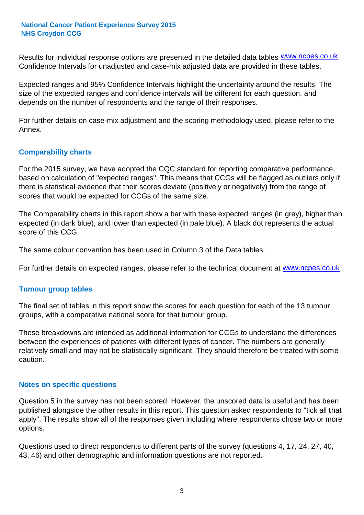Results for individual response options are presented in the detailed data tables **WWW.ncpes.co.uk** Confidence Intervals for unadjusted and case-mix adjusted data are provided in these tables.

Expected ranges and 95% Confidence Intervals highlight the uncertainty around the results. The size of the expected ranges and confidence intervals will be different for each question, and depends on the number of respondents and the range of their responses.

For further details on case-mix adjustment and the scoring methodology used, please refer to the Annex.

#### **Comparability charts**

For the 2015 survey, we have adopted the CQC standard for reporting comparative performance, based on calculation of "expected ranges". This means that CCGs will be flagged as outliers only if there is statistical evidence that their scores deviate (positively or negatively) from the range of scores that would be expected for CCGs of the same size.

The Comparability charts in this report show a bar with these expected ranges (in grey), higher than expected (in dark blue), and lower than expected (in pale blue). A black dot represents the actual score of this CCG.

The same colour convention has been used in Column 3 of the Data tables.

For further details on expected ranges, please refer to the technical document at **www.ncpes.co.uk** 

#### **Tumour group tables**

The final set of tables in this report show the scores for each question for each of the 13 tumour groups, with a comparative national score for that tumour group.

These breakdowns are intended as additional information for CCGs to understand the differences between the experiences of patients with different types of cancer. The numbers are generally relatively small and may not be statistically significant. They should therefore be treated with some caution.

#### **Notes on specific questions**

Question 5 in the survey has not been scored. However, the unscored data is useful and has been published alongside the other results in this report. This question asked respondents to "tick all that apply". The results show all of the responses given including where respondents chose two or more options.

Questions used to direct respondents to different parts of the survey (questions 4, 17, 24, 27, 40, 43, 46) and other demographic and information questions are not reported.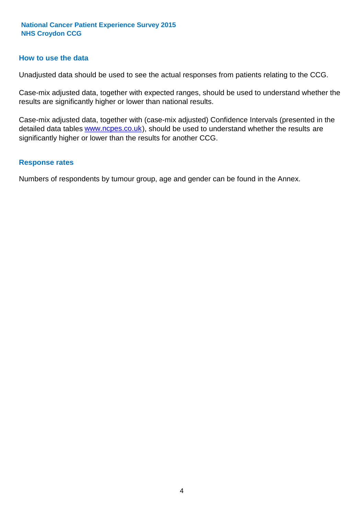#### **How to use the data**

Unadjusted data should be used to see the actual responses from patients relating to the CCG.

Case-mix adjusted data, together with expected ranges, should be used to understand whether the results are significantly higher or lower than national results.

Case-mix adjusted data, together with (case-mix adjusted) Confidence Intervals (presented in the detailed data tables **www.ncpes.co.uk**), should be used to understand whether the results are significantly higher or lower than the results for another CCG.

#### **Response rates**

Numbers of respondents by tumour group, age and gender can be found in the Annex.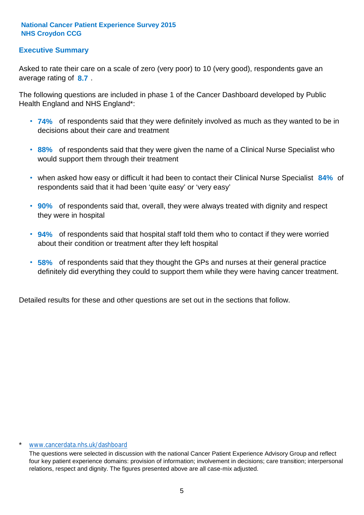#### **Executive Summary**

average rating of 8.7. Asked to rate their care on a scale of zero (very poor) to 10 (very good), respondents gave an

The following questions are included in phase 1 of the Cancer Dashboard developed by Public Health England and NHS England\*:

- **74%** of respondents said that they were definitely involved as much as they wanted to be in decisions about their care and treatment
- **88%** of respondents said that they were given the name of a Clinical Nurse Specialist who would support them through their treatment
- when asked how easy or difficult it had been to contact their Clinical Nurse Specialist 84% of respondents said that it had been 'quite easy' or 'very easy'
- **90%** of respondents said that, overall, they were always treated with dignity and respect they were in hospital
- **94%** of respondents said that hospital staff told them who to contact if they were worried about their condition or treatment after they left hospital
- **58%** of respondents said that they thought the GPs and nurses at their general practice definitely did everything they could to support them while they were having cancer treatment.

Detailed results for these and other questions are set out in the sections that follow.

#### \* www.cancerdata.nhs.uk/dashboard

The questions were selected in discussion with the national Cancer Patient Experience Advisory Group and reflect four key patient experience domains: provision of information; involvement in decisions; care transition; interpersonal relations, respect and dignity. The figures presented above are all case-mix adjusted.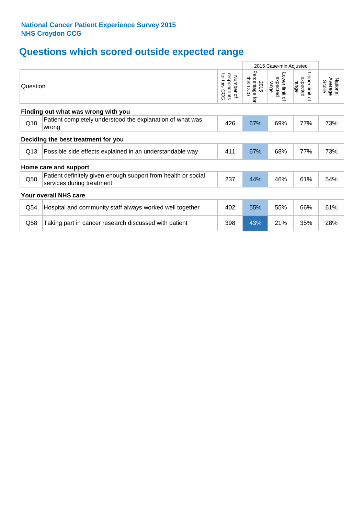## **Questions which scored outside expected range**

|                                     |                                                                                            |                                             |                                     | 2015 Case-mix Adjusted                       |                                              |                              |  |  |  |  |
|-------------------------------------|--------------------------------------------------------------------------------------------|---------------------------------------------|-------------------------------------|----------------------------------------------|----------------------------------------------|------------------------------|--|--|--|--|
| Question                            |                                                                                            | for this<br>respondents<br>Number of<br>600 | Percentage<br>this CCG<br>2015<br>ţ | Lower limit<br>expected<br>range<br>$\Omega$ | Upper limit<br>expected<br>range<br>$\Omega$ | National<br>Average<br>Score |  |  |  |  |
| Finding out what was wrong with you |                                                                                            |                                             |                                     |                                              |                                              |                              |  |  |  |  |
| Q10                                 | Patient completely understood the explanation of what was<br>wrong                         | 426                                         | 67%                                 | 69%                                          | 77%                                          | 73%                          |  |  |  |  |
| Deciding the best treatment for you |                                                                                            |                                             |                                     |                                              |                                              |                              |  |  |  |  |
| Q13                                 | Possible side effects explained in an understandable way                                   | 411                                         | 67%                                 | 68%                                          | 77%                                          | 73%                          |  |  |  |  |
|                                     | Home care and support                                                                      |                                             |                                     |                                              |                                              |                              |  |  |  |  |
| Q50                                 | Patient definitely given enough support from health or social<br>services during treatment | 237                                         | 44%                                 | 46%                                          | 61%                                          | 54%                          |  |  |  |  |
|                                     | <b>Your overall NHS care</b>                                                               |                                             |                                     |                                              |                                              |                              |  |  |  |  |
| Q54                                 | Hospital and community staff always worked well together                                   | 402                                         | 55%                                 | 55%                                          | 66%                                          | 61%                          |  |  |  |  |
| Q58                                 | Taking part in cancer research discussed with patient                                      | 398                                         | 43%                                 | 21%                                          | 35%                                          | 28%                          |  |  |  |  |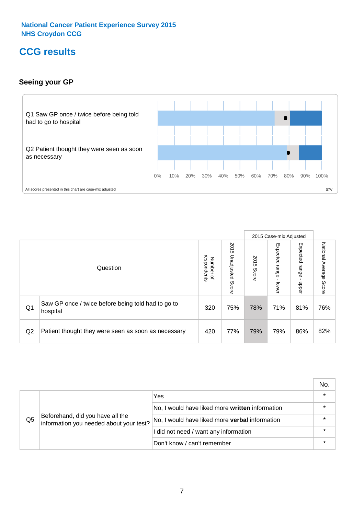### **CCG results**

#### **Seeing your GP**



|    |                                                                |                                         |                             |               | 2015 Case-mix Adjusted     |                            |                        |
|----|----------------------------------------------------------------|-----------------------------------------|-----------------------------|---------------|----------------------------|----------------------------|------------------------|
|    | Question                                                       | respondents<br>Number<br>$\overline{a}$ | 2015<br>Unadjusted<br>Score | 2015<br>Score | Expected<br>range<br>lower | Expected<br>range<br>nbber | National Average Score |
| Q1 | Saw GP once / twice before being told had to go to<br>hospital | 320                                     | 75%                         | 78%           | 71%                        | 81%                        | 76%                    |
| Q2 | Patient thought they were seen as soon as necessary            | 420                                     | 77%                         | 79%           | 79%                        | 86%                        | 82%                    |

|    |                                                                             |                                                 | No. |
|----|-----------------------------------------------------------------------------|-------------------------------------------------|-----|
|    | Beforehand, did you have all the<br>information you needed about your test? | Yes                                             |     |
| Q5 |                                                                             | No, I would have liked more written information |     |
|    |                                                                             | No, I would have liked more verbal information  |     |
|    |                                                                             | I did not need / want any information           |     |
|    |                                                                             | Don't know / can't remember                     |     |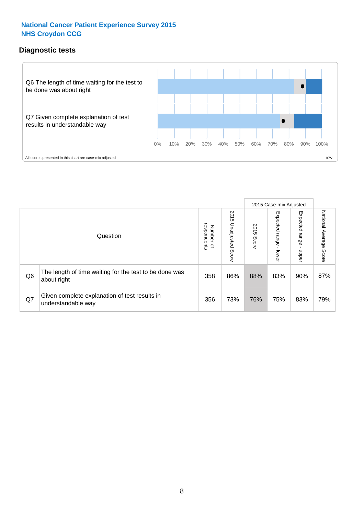#### **Diagnostic tests**



|                |                                                                       |                                       |                             |               | 2015 Case-mix Adjusted  |                         |                           |
|----------------|-----------------------------------------------------------------------|---------------------------------------|-----------------------------|---------------|-------------------------|-------------------------|---------------------------|
|                | Question                                                              | respondents<br>Number<br>$\mathbf{Q}$ | 2015<br>Unadjusted<br>Score | 2015<br>Score | Expected range<br>lower | Expected range<br>nbber | National Average<br>Score |
| Q <sub>6</sub> | The length of time waiting for the test to be done was<br>about right | 358                                   | 86%                         | 88%           | 83%                     | 90%                     | 87%                       |
| Q7             | Given complete explanation of test results in<br>understandable way   | 356                                   | 73%                         | 76%           | 75%                     | 83%                     | 79%                       |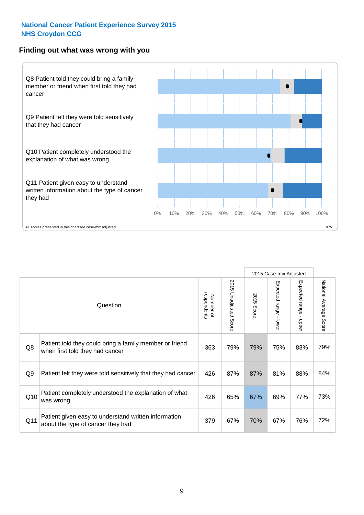#### **Finding out what was wrong with you**



|                |                                                                                            |                          |                                 | 2015 Case-mix Adjusted |                                           |                                       |                        |
|----------------|--------------------------------------------------------------------------------------------|--------------------------|---------------------------------|------------------------|-------------------------------------------|---------------------------------------|------------------------|
|                | Question                                                                                   | respondents<br>Number of | 2015<br><b>Unadjusted Score</b> | 2015<br><b>Score</b>   | Expected range<br>$\blacksquare$<br>lower | Expected range<br>$\mathbf{I}$<br>ddo | National Average Score |
| Q8             | Patient told they could bring a family member or friend<br>when first told they had cancer | 363                      | 79%                             | 79%                    | 75%                                       | 83%                                   | 79%                    |
| Q <sub>9</sub> | Patient felt they were told sensitively that they had cancer                               | 426                      | 87%                             | 87%                    | 81%                                       | 88%                                   | 84%                    |
| Q10            | Patient completely understood the explanation of what<br>was wrong                         | 426                      | 65%                             | 67%                    | 69%                                       | 77%                                   | 73%                    |
| Q11            | Patient given easy to understand written information<br>about the type of cancer they had  | 379                      | 67%                             | 70%                    | 67%                                       | 76%                                   | 72%                    |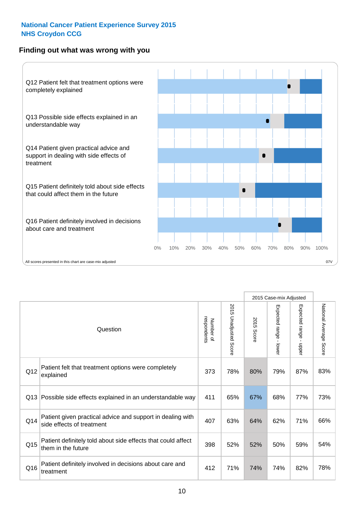#### **Finding out what was wrong with you**



|          |                                                                                         |                          |                                 |               | 2015 Case-mix Adjusted                    |                        |                        |  |
|----------|-----------------------------------------------------------------------------------------|--------------------------|---------------------------------|---------------|-------------------------------------------|------------------------|------------------------|--|
| Question |                                                                                         | Number of<br>respondents | 2015<br><b>Unadjusted Score</b> | 2015<br>Score | Expected range<br>$\blacksquare$<br>lower | Expected range - upper | National Average Score |  |
| Q12      | Patient felt that treatment options were completely<br>explained                        | 373                      | 78%                             | 80%           | 79%                                       | 87%                    | 83%                    |  |
| Q13      | Possible side effects explained in an understandable way                                | 411                      | 65%                             | 67%           | 68%                                       | 77%                    | 73%                    |  |
| Q14      | Patient given practical advice and support in dealing with<br>side effects of treatment | 407                      | 63%                             | 64%           | 62%                                       | 71%                    | 66%                    |  |
| Q15      | Patient definitely told about side effects that could affect<br>them in the future      | 398                      | 52%                             | 52%           | 50%                                       | 59%                    | 54%                    |  |
| Q16      | Patient definitely involved in decisions about care and<br>treatment                    | 412                      | 71%                             | 74%           | 74%                                       | 82%                    | 78%                    |  |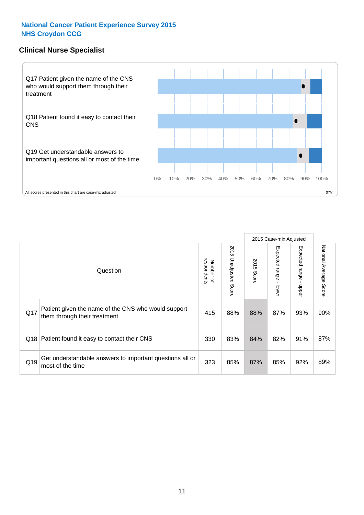#### **Clinical Nurse Specialist**



|     |                                                                                     |                          |                       |               | 2015 Case-mix Adjusted  |                         |                                  |
|-----|-------------------------------------------------------------------------------------|--------------------------|-----------------------|---------------|-------------------------|-------------------------|----------------------------------|
|     | Question                                                                            | Number of<br>respondents | 2015 Unadjusted Score | 2015<br>Score | Expected range<br>lower | Expected range<br>nbber | National Average<br><b>Score</b> |
| Q17 | Patient given the name of the CNS who would support<br>them through their treatment | 415                      | 88%                   | 88%           | 87%                     | 93%                     | 90%                              |
| Q18 | Patient found it easy to contact their CNS                                          | 330                      | 83%                   | 84%           | 82%                     | 91%                     | 87%                              |
| Q19 | Get understandable answers to important questions all or<br>most of the time        | 323                      | 85%                   | 87%           | 85%                     | 92%                     | 89%                              |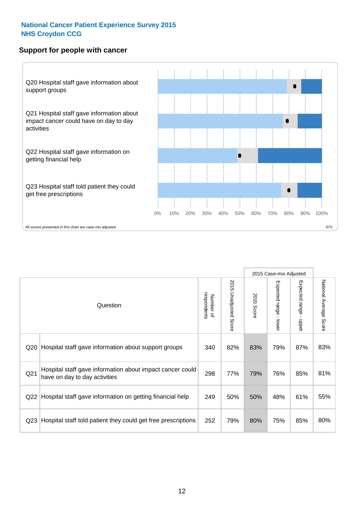#### **Support for people with cancer**



|                 |                                                                                            |                          |                                 |               | 2015 Case-mix Adjusted  |                           |                        |
|-----------------|--------------------------------------------------------------------------------------------|--------------------------|---------------------------------|---------------|-------------------------|---------------------------|------------------------|
|                 | Question                                                                                   | respondents<br>Number of | 2015<br><b>Unadjusted Score</b> | 2015<br>Score | Expected range<br>lower | Expected range<br>- nbber | National Average Score |
| Q <sub>20</sub> | Hospital staff gave information about support groups                                       | 340                      | 82%                             | 83%           | 79%                     | 87%                       | 83%                    |
| Q <sub>21</sub> | Hospital staff gave information about impact cancer could<br>have on day to day activities | 298                      | 77%                             | 79%           | 76%                     | 85%                       | 81%                    |
| Q <sub>22</sub> | Hospital staff gave information on getting financial help                                  | 249                      | 50%                             | 50%           | 48%                     | 61%                       | 55%                    |
| Q <sub>23</sub> | Hospital staff told patient they could get free prescriptions                              | 252                      | 79%                             | 80%           | 75%                     | 85%                       | 80%                    |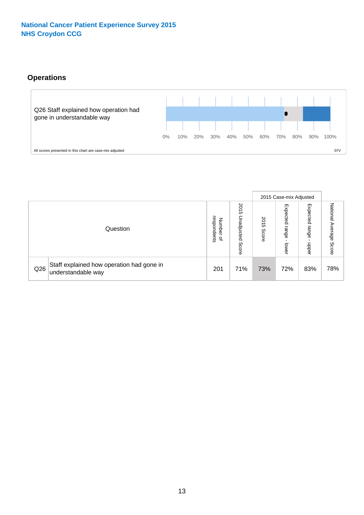#### **Operations**



|     |                                                                 |                                         |                             | 2015 Case-mix Adjusted |                            |                           |                              |
|-----|-----------------------------------------------------------------|-----------------------------------------|-----------------------------|------------------------|----------------------------|---------------------------|------------------------------|
|     | Question                                                        | respondents<br>Number<br>$\overline{a}$ | 2015<br>Unadjusted<br>Score | SO<br>ຕ<br>Score       | Expected<br>range<br>lower | Expected<br>range<br>ddoe | National<br>Average<br>Score |
| Q26 | Staff explained how operation had gone in<br>understandable way | 201                                     | 71%                         | 73%                    | 72%                        | 83%                       | 78%                          |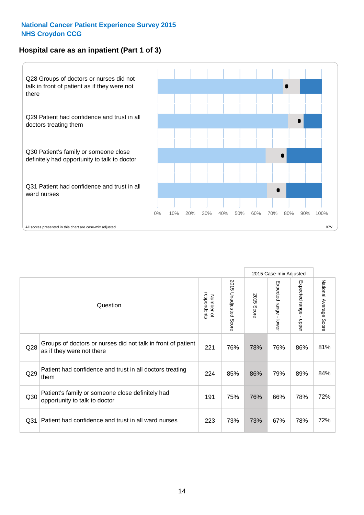#### **Hospital care as an inpatient (Part 1 of 3)**



All scores presented in this chart are case-mix adjusted  $07V$ 

|                 |                                                                                           |                          |                       |                      | 2015 Case-mix Adjusted                    |                                           |                        |
|-----------------|-------------------------------------------------------------------------------------------|--------------------------|-----------------------|----------------------|-------------------------------------------|-------------------------------------------|------------------------|
|                 | Question                                                                                  | respondents<br>Number of | 2015 Unadjusted Score | 2015<br><b>Score</b> | Expected range<br>$\blacksquare$<br>lower | Expected range<br>$\blacksquare$<br>nbber | National Average Score |
| Q28             | Groups of doctors or nurses did not talk in front of patient<br>as if they were not there | 221                      | 76%                   | 78%                  | 76%                                       | 86%                                       | 81%                    |
| Q29             | Patient had confidence and trust in all doctors treating<br>them                          | 224                      | 85%                   | 86%                  | 79%                                       | 89%                                       | 84%                    |
| Q30             | Patient's family or someone close definitely had<br>opportunity to talk to doctor         | 191                      | 75%                   | 76%                  | 66%                                       | 78%                                       | 72%                    |
| Q <sub>31</sub> | Patient had confidence and trust in all ward nurses                                       | 223                      | 73%                   | 73%                  | 67%                                       | 78%                                       | 72%                    |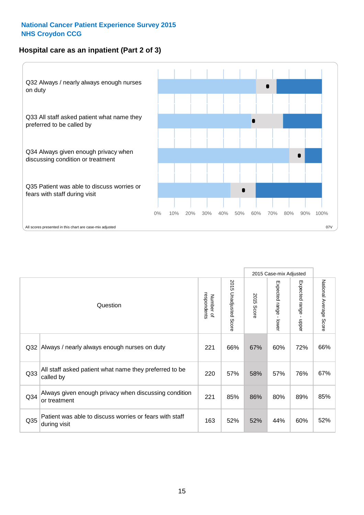#### **Hospital care as an inpatient (Part 2 of 3)**



|                 |                                                                         |                          |                       |                      | 2015 Case-mix Adjusted      |                                           |                        |
|-----------------|-------------------------------------------------------------------------|--------------------------|-----------------------|----------------------|-----------------------------|-------------------------------------------|------------------------|
|                 | Question                                                                | respondents<br>Number of | 2015 Unadjusted Score | 2015<br><b>Score</b> | Expected range -<br>- lower | Expected range<br>$\blacksquare$<br>nbber | National Average Score |
| Q32             | Always / nearly always enough nurses on duty                            | 221                      | 66%                   | 67%                  | 60%                         | 72%                                       | 66%                    |
| Q <sub>33</sub> | All staff asked patient what name they preferred to be<br>called by     | 220                      | 57%                   | 58%                  | 57%                         | 76%                                       | 67%                    |
| Q34             | Always given enough privacy when discussing condition<br>or treatment   | 221                      | 85%                   | 86%                  | 80%                         | 89%                                       | 85%                    |
| Q35             | Patient was able to discuss worries or fears with staff<br>during visit | 163                      | 52%                   | 52%                  | 44%                         | 60%                                       | 52%                    |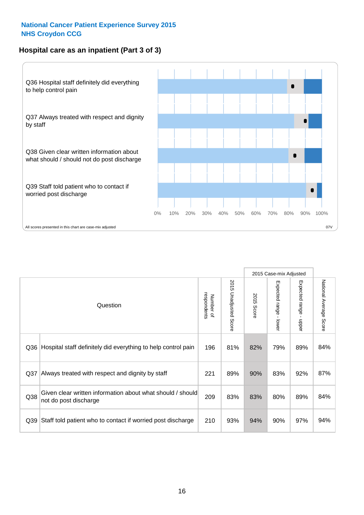#### **Hospital care as an inpatient (Part 3 of 3)**



|                 |                                                                                     |                          |                                 |                      | 2015 Case-mix Adjusted                    |                           |                        |
|-----------------|-------------------------------------------------------------------------------------|--------------------------|---------------------------------|----------------------|-------------------------------------------|---------------------------|------------------------|
|                 | Question                                                                            | respondents<br>Number of | 2015<br><b>Unadjusted Score</b> | 2015<br><b>Score</b> | Expected range<br>$\blacksquare$<br>lower | Expected range -<br>nbber | National Average Score |
| Q36             | Hospital staff definitely did everything to help control pain                       | 196                      | 81%                             | 82%                  | 79%                                       | 89%                       | 84%                    |
| Q <sub>37</sub> | Always treated with respect and dignity by staff                                    | 221                      | 89%                             | 90%                  | 83%                                       | 92%                       | 87%                    |
| Q38             | Given clear written information about what should / should<br>not do post discharge | 209                      | 83%                             | 83%                  | 80%                                       | 89%                       | 84%                    |
| Q <sub>39</sub> | Staff told patient who to contact if worried post discharge                         | 210                      | 93%                             | 94%                  | 90%                                       | 97%                       | 94%                    |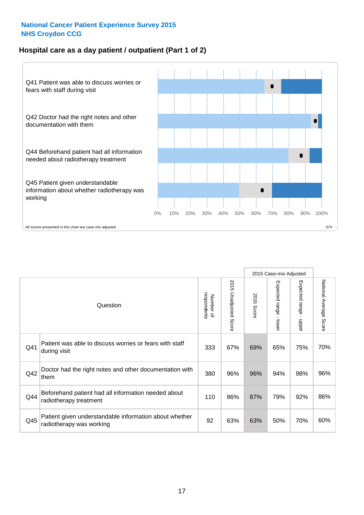#### **Hospital care as a day patient / outpatient (Part 1 of 2)**



|     |                                                                                    |                          |                                      | 2015 Case-mix Adjusted |                                           |                                           |                        |
|-----|------------------------------------------------------------------------------------|--------------------------|--------------------------------------|------------------------|-------------------------------------------|-------------------------------------------|------------------------|
|     | Question                                                                           | respondents<br>Number of | 201<br>C)<br><b>Unadjusted Score</b> | 2015<br>Score          | Expected range<br>$\blacksquare$<br>lower | Expected range<br>$\blacksquare$<br>nbber | National Average Score |
| Q41 | Patient was able to discuss worries or fears with staff<br>during visit            | 333                      | 67%                                  | 69%                    | 65%                                       | 75%                                       | 70%                    |
| Q42 | Doctor had the right notes and other documentation with<br>them                    | 380                      | 96%                                  | 96%                    | 94%                                       | 98%                                       | 96%                    |
| Q44 | Beforehand patient had all information needed about<br>radiotherapy treatment      | 110                      | 86%                                  | 87%                    | 79%                                       | 92%                                       | 86%                    |
| Q45 | Patient given understandable information about whether<br>radiotherapy was working | 92                       | 63%                                  | 63%                    | 50%                                       | 70%                                       | 60%                    |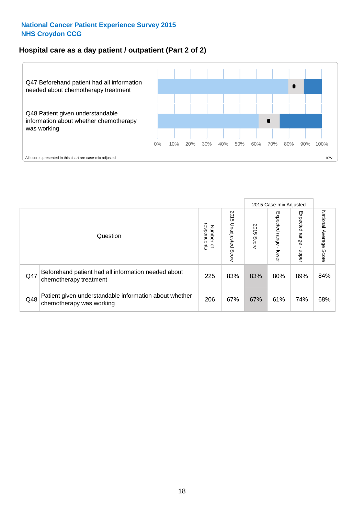#### **Hospital care as a day patient / outpatient (Part 2 of 2)**



|     |                                                                                    |                                       |                             | 2015 Case-mix Adjusted |                              |                         |                           |
|-----|------------------------------------------------------------------------------------|---------------------------------------|-----------------------------|------------------------|------------------------------|-------------------------|---------------------------|
|     | Question                                                                           | respondents<br>Number<br>$\mathbf{Q}$ | 2015<br>Unadjusted<br>Score | 2015<br>Score          | Expected<br>I range<br>lower | Expected range<br>doper | National Average<br>Score |
| Q47 | Beforehand patient had all information needed about<br>chemotherapy treatment      | 225                                   | 83%                         | 83%                    | 80%                          | 89%                     | 84%                       |
| Q48 | Patient given understandable information about whether<br>chemotherapy was working | 206                                   | 67%                         | 67%                    | 61%                          | 74%                     | 68%                       |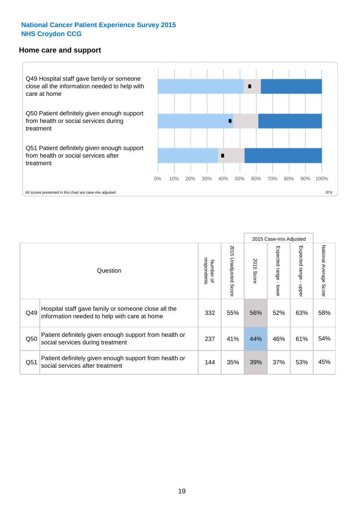#### **Home care and support**



All scores presented in this chart are case-mix adjusted

|                 |                                                                                                     |                          |                       | 2015 Case-mix Adjusted |                         |                         |                           |
|-----------------|-----------------------------------------------------------------------------------------------------|--------------------------|-----------------------|------------------------|-------------------------|-------------------------|---------------------------|
|                 | Question                                                                                            | respondents<br>Number of | 2015 Unadjusted Score | 2015<br>Score          | Expected range<br>lower | Expected range<br>nbber | National Average<br>Score |
| Q49             | Hospital staff gave family or someone close all the<br>information needed to help with care at home | 332                      | 55%                   | 56%                    | 52%                     | 63%                     | 58%                       |
| Q50             | Patient definitely given enough support from health or<br>social services during treatment          | 237                      | 41%                   | 44%                    | 46%                     | 61%                     | 54%                       |
| Q <sub>51</sub> | Patient definitely given enough support from health or<br>social services after treatment           | 144                      | 35%                   | 39%                    | 37%                     | 53%                     | 45%                       |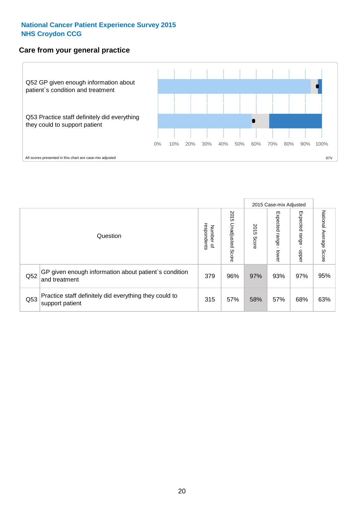#### **Care from your general practice**



|     |                                                                           |                                   |                             | 2015 Case-mix Adjusted |                                   |                            |                           |
|-----|---------------------------------------------------------------------------|-----------------------------------|-----------------------------|------------------------|-----------------------------------|----------------------------|---------------------------|
|     | Question                                                                  | respondents<br>Number<br>$\Omega$ | 2015<br>Unadjusted<br>Score | 2015<br>Score          | Expected<br><b>Lange</b><br>lower | Expected<br>range<br>nbber | National Average<br>Score |
| Q52 | GP given enough information about patient's condition<br>and treatment    | 379                               | 96%                         | 97%                    | 93%                               | 97%                        | 95%                       |
| Q53 | Practice staff definitely did everything they could to<br>support patient | 315                               | 57%                         | 58%                    | 57%                               | 68%                        | 63%                       |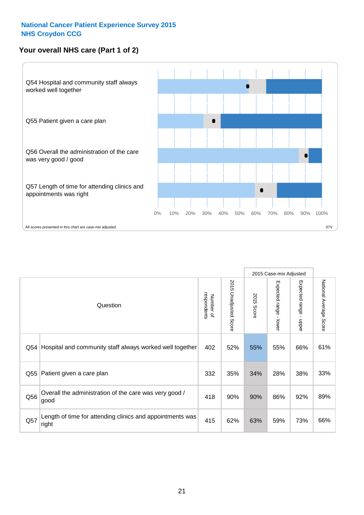#### **Your overall NHS care (Part 1 of 2)**



|     |                                                                    |                          |                       | 2015 Case-mix Adjusted |                                           |                                           |                        |
|-----|--------------------------------------------------------------------|--------------------------|-----------------------|------------------------|-------------------------------------------|-------------------------------------------|------------------------|
|     | Question                                                           | respondents<br>Number of | 2015 Unadjusted Score | 2015<br><b>Score</b>   | Expected range<br>$\blacksquare$<br>lower | Expected range<br>$\blacksquare$<br>nbber | National Average Score |
| Q54 | Hospital and community staff always worked well together           | 402                      | 52%                   | 55%                    | 55%                                       | 66%                                       | 61%                    |
| Q55 | Patient given a care plan                                          | 332                      | 35%                   | 34%                    | 28%                                       | 38%                                       | 33%                    |
| Q56 | Overall the administration of the care was very good /<br>good     | 418                      | 90%                   | 90%                    | 86%                                       | 92%                                       | 89%                    |
| Q57 | Length of time for attending clinics and appointments was<br>right | 415                      | 62%                   | 63%                    | 59%                                       | 73%                                       | 66%                    |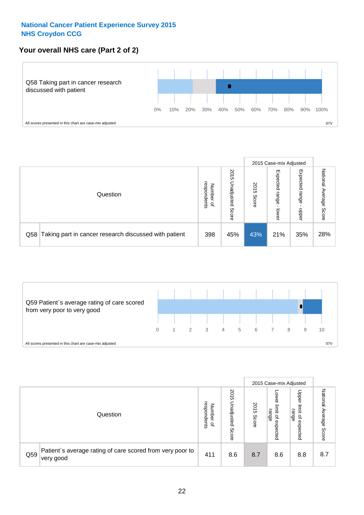#### **Your overall NHS care (Part 2 of 2)**



|     |                                                       |                                   |                             |               |                            | 2015 Case-mix Adjusted     |                        |
|-----|-------------------------------------------------------|-----------------------------------|-----------------------------|---------------|----------------------------|----------------------------|------------------------|
|     | Question                                              | respondents<br>Number<br>$\Omega$ | 2015<br>Unadjusted<br>Score | 2015<br>Score | Expected<br>range<br>lower | Expected<br>range<br>nbber | National Average Score |
| Q58 | Taking part in cancer research discussed with patient | 398                               | 45%                         | 43%           | 21%                        | 35%                        | 28%                    |



|     |                                                                        |                                              |                             |               |                                         | 2015 Case-mix Adjusted                                |                              |
|-----|------------------------------------------------------------------------|----------------------------------------------|-----------------------------|---------------|-----------------------------------------|-------------------------------------------------------|------------------------------|
|     | Question                                                               | respondents<br>Number<br>$\overline{\sigma}$ | 2015<br>Jnadjusted<br>Score | 2015<br>Score | OWer<br>limit<br>range<br>٩<br>expected | Upper<br>limit<br>range<br>$\overline{a}$<br>expected | National<br>Average<br>Score |
| Q59 | Patient's average rating of care scored from very poor to<br>very good | 411                                          | 8.6                         | 8.7           | 8.6                                     | 8.8                                                   | 8.7                          |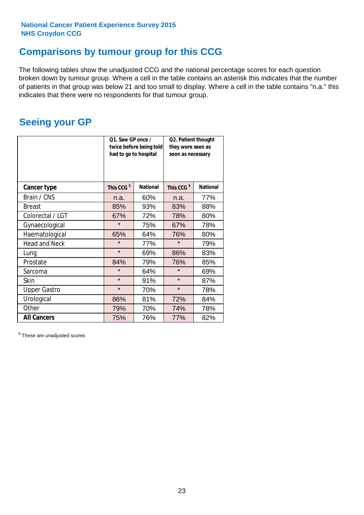### **Comparisons by tumour group for this CCG**

The following tables show the unadjusted CCG and the national percentage scores for each question broken down by tumour group. Where a cell in the table contains an asterisk this indicates that the number of patients in that group was below 21 and too small to display. Where a cell in the table contains "n.a." this indicates that there were no respondents for that tumour group.

### **Seeing your GP**

|                      | Q1. Saw GP once /<br>had to go to hospital | twice before being told | Q2. Patient thought<br>they were seen as<br>soon as necessary |                 |  |
|----------------------|--------------------------------------------|-------------------------|---------------------------------------------------------------|-----------------|--|
| <b>Cancer type</b>   | This CCG <sup>\$</sup>                     | <b>National</b>         | This CCG <sup>\$</sup>                                        | <b>National</b> |  |
| Brain / CNS          | n.a.                                       | 60%                     | n.a.                                                          | 77%             |  |
| <b>Breast</b>        | 85%                                        | 93%                     | 83%                                                           | 88%             |  |
| Colorectal / LGT     | 67%                                        | 72%                     | 78%                                                           | 80%             |  |
| Gynaecological       | $\star$                                    | 75%                     | 67%                                                           | 78%             |  |
| Haematological       | 65%                                        | 64%                     | 76%                                                           | 80%             |  |
| <b>Head and Neck</b> | $\star$                                    | 77%                     | $\star$                                                       | 79%             |  |
| Lung                 | $\star$                                    | 69%                     | 86%                                                           | 83%             |  |
| Prostate             | 84%                                        | 79%                     | 76%                                                           | 85%             |  |
| Sarcoma              | $\star$                                    | 64%                     | $\star$                                                       | 69%             |  |
| <b>Skin</b>          | $\star$                                    | 91%                     | $\star$                                                       | 87%             |  |
| <b>Upper Gastro</b>  | $\star$                                    | 70%                     | $\star$                                                       | 78%             |  |
| Urological           | 86%                                        | 81%                     | 72%                                                           | 84%             |  |
| Other                | 79%                                        | 70%                     | 74%                                                           | 78%             |  |
| <b>All Cancers</b>   | 75%                                        | 76%                     | 77%                                                           | 82%             |  |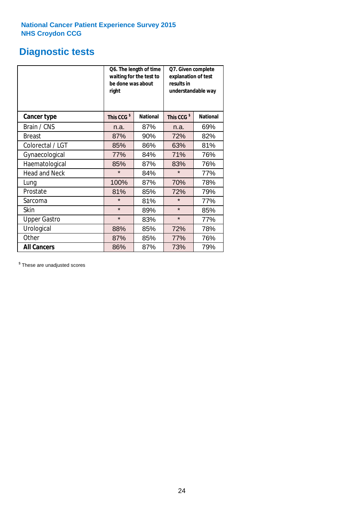## **Diagnostic tests**

|                      | be done was about<br>right | Q6. The length of time<br>waiting for the test to | Q7. Given complete<br>explanation of test<br>results in<br>understandable way |                 |  |
|----------------------|----------------------------|---------------------------------------------------|-------------------------------------------------------------------------------|-----------------|--|
| <b>Cancer type</b>   | This CCG <sup>\$</sup>     | <b>National</b>                                   | This CCG <sup>\$</sup>                                                        | <b>National</b> |  |
| Brain / CNS          | n.a.                       | 87%                                               | n.a.                                                                          | 69%             |  |
| <b>Breast</b>        | 87%                        | 90%                                               | 72%                                                                           | 82%             |  |
| Colorectal / LGT     | 85%                        | 86%                                               | 63%                                                                           | 81%             |  |
| Gynaecological       | 77%                        | 84%                                               | 71%                                                                           | 76%             |  |
| Haematological       | 85%                        | 87%                                               | 83%                                                                           | 76%             |  |
| <b>Head and Neck</b> | $\star$                    | 84%                                               | $\star$                                                                       | 77%             |  |
| Lung                 | 100%                       | 87%                                               | 70%                                                                           | 78%             |  |
| Prostate             | 81%                        | 85%                                               | 72%                                                                           | 79%             |  |
| Sarcoma              | $\star$                    | 81%                                               | $\star$                                                                       | 77%             |  |
| <b>Skin</b>          | $\star$                    | 89%                                               | $\star$                                                                       | 85%             |  |
| <b>Upper Gastro</b>  | $\star$                    | 83%                                               | $\star$                                                                       | 77%             |  |
| Urological           | 88%                        | 85%                                               | 72%                                                                           | 78%             |  |
| Other                | 87%                        | 85%                                               | 77%                                                                           | 76%             |  |
| <b>All Cancers</b>   | 86%                        | 87%                                               | 73%                                                                           | 79%             |  |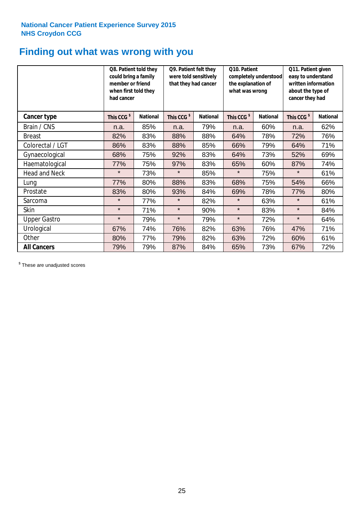### **Finding out what was wrong with you**

|                      | Q8. Patient told they<br>could bring a family<br>member or friend<br>when first told they<br>had cancer |                 | Q9. Patient felt they<br>were told sensitively<br>that they had cancer |                 | Q10. Patient<br>completely understood<br>the explanation of<br>what was wrong |                 | Q11. Patient given<br>easy to understand<br>written information<br>about the type of<br>cancer they had |                 |
|----------------------|---------------------------------------------------------------------------------------------------------|-----------------|------------------------------------------------------------------------|-----------------|-------------------------------------------------------------------------------|-----------------|---------------------------------------------------------------------------------------------------------|-----------------|
| Cancer type          | This CCG <sup>\$</sup>                                                                                  | <b>National</b> | This CCG <sup>\$</sup>                                                 | <b>National</b> | This CCG <sup>\$</sup>                                                        | <b>National</b> | This CCG <sup>\$</sup>                                                                                  | <b>National</b> |
| Brain / CNS          | n.a.                                                                                                    | 85%             | n.a.                                                                   | 79%             | n.a.                                                                          | 60%             | n.a.                                                                                                    | 62%             |
| <b>Breast</b>        | 82%                                                                                                     | 83%             | 88%                                                                    | 88%             | 64%                                                                           | 78%             | 72%                                                                                                     | 76%             |
| Colorectal / LGT     | 86%                                                                                                     | 83%             | 88%                                                                    | 85%             | 66%                                                                           | 79%             | 64%                                                                                                     | 71%             |
| Gynaecological       | 68%                                                                                                     | 75%             | 92%                                                                    | 83%             | 64%                                                                           | 73%             | 52%                                                                                                     | 69%             |
| Haematological       | 77%                                                                                                     | 75%             | 97%                                                                    | 83%             | 65%                                                                           | 60%             | 87%                                                                                                     | 74%             |
| <b>Head and Neck</b> | $\star$                                                                                                 | 73%             | $\star$                                                                | 85%             | $\star$                                                                       | 75%             | $\star$                                                                                                 | 61%             |
| Lung                 | 77%                                                                                                     | 80%             | 88%                                                                    | 83%             | 68%                                                                           | 75%             | 54%                                                                                                     | 66%             |
| Prostate             | 83%                                                                                                     | 80%             | 93%                                                                    | 84%             | 69%                                                                           | 78%             | 77%                                                                                                     | 80%             |
| Sarcoma              | $\star$                                                                                                 | 77%             | $\star$                                                                | 82%             | $\star$                                                                       | 63%             | $\star$                                                                                                 | 61%             |
| Skin                 | $\star$                                                                                                 | 71%             | $\star$                                                                | 90%             | $\star$                                                                       | 83%             | $\star$                                                                                                 | 84%             |
| <b>Upper Gastro</b>  | $\star$                                                                                                 | 79%             | $\star$                                                                | 79%             | $\star$                                                                       | 72%             | $\star$                                                                                                 | 64%             |
| Urological           | 67%                                                                                                     | 74%             | 76%                                                                    | 82%             | 63%                                                                           | 76%             | 47%                                                                                                     | 71%             |
| Other                | 80%                                                                                                     | 77%             | 79%                                                                    | 82%             | 63%                                                                           | 72%             | 60%                                                                                                     | 61%             |
| <b>All Cancers</b>   | 79%                                                                                                     | 79%             | 87%                                                                    | 84%             | 65%                                                                           | 73%             | 67%                                                                                                     | 72%             |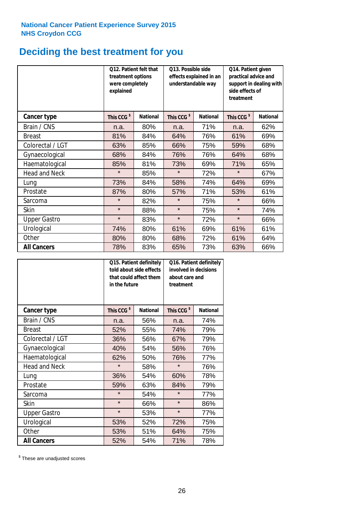## **Deciding the best treatment for you**

|                      | treatment options<br>were completely<br>explained | Q12. Patient felt that | Q13. Possible side<br>understandable way | effects explained in an | Q14. Patient given<br>practical advice and<br>support in dealing with<br>side effects of<br>treatment |                 |  |
|----------------------|---------------------------------------------------|------------------------|------------------------------------------|-------------------------|-------------------------------------------------------------------------------------------------------|-----------------|--|
| <b>Cancer type</b>   | This CCG <sup>\$</sup>                            | <b>National</b>        | This CCG <sup>\$</sup>                   | <b>National</b>         | This CCG <sup>\$</sup>                                                                                | <b>National</b> |  |
| Brain / CNS          | n.a.                                              | 80%                    | n.a.                                     | 71%                     | n.a.                                                                                                  | 62%             |  |
| <b>Breast</b>        | 81%                                               | 84%                    | 64%                                      | 76%                     | 61%                                                                                                   | 69%             |  |
| Colorectal / LGT     | 63%                                               | 85%                    | 66%                                      | 75%                     | 59%                                                                                                   | 68%             |  |
| Gynaecological       | 68%                                               | 84%                    | 76%                                      | 76%                     | 64%                                                                                                   | 68%             |  |
| Haematological       | 85%                                               | 81%                    | 73%                                      | 69%                     | 71%                                                                                                   | 65%             |  |
| <b>Head and Neck</b> | $\star$                                           | 85%                    | $\star$                                  | 72%                     | $\star$                                                                                               | 67%             |  |
| Lung                 | 73%                                               | 84%                    | 58%                                      | 74%                     | 64%                                                                                                   | 69%             |  |
| Prostate             | 87%                                               | 80%                    | 57%                                      | 71%                     | 53%                                                                                                   | 61%             |  |
| Sarcoma              | $\star$                                           | 82%                    | $\star$                                  | 75%                     | $\star$                                                                                               | 66%             |  |
| Skin                 | $\star$                                           | 88%                    | $\star$                                  | 75%                     | $\star$                                                                                               | 74%             |  |
| <b>Upper Gastro</b>  | $\star$                                           | 83%                    | $\star$                                  | 72%                     | $\star$                                                                                               | 66%             |  |
| Urological           | 74%                                               | 80%                    | 61%                                      | 69%                     | 61%                                                                                                   | 61%             |  |
| Other                | 80%                                               | 80%                    | 68%                                      | 72%                     | 61%                                                                                                   | 64%             |  |
| <b>All Cancers</b>   | 78%                                               | 83%                    | 65%                                      | 73%                     | 63%                                                                                                   | 66%             |  |

|                      | in the future          | Q15. Patient definitely<br>told about side effects<br>that could affect them | Q16. Patient definitely<br>involved in decisions<br>about care and<br>treatment |                 |  |
|----------------------|------------------------|------------------------------------------------------------------------------|---------------------------------------------------------------------------------|-----------------|--|
| <b>Cancer type</b>   | This CCG <sup>\$</sup> | <b>National</b>                                                              | This CCG <sup>\$</sup>                                                          | <b>National</b> |  |
| Brain / CNS          | n.a.                   | 56%                                                                          | n.a.                                                                            | 74%             |  |
| <b>Breast</b>        | 52%                    | 55%                                                                          | 74%                                                                             | 79%             |  |
| Colorectal / LGT     | 36%                    | 56%                                                                          | 67%                                                                             | 79%             |  |
| Gynaecological       | 54%<br>40%             |                                                                              | 56%                                                                             | 76%             |  |
| Haematological       | 62%                    | 50%                                                                          | 76%                                                                             | 77%             |  |
| <b>Head and Neck</b> | $\star$                | 58%                                                                          | $\star$                                                                         | 76%             |  |
| Lung                 | 36%                    | 54%                                                                          | 60%                                                                             | 78%             |  |
| Prostate             | 59%                    | 63%                                                                          | 84%                                                                             | 79%             |  |
| Sarcoma              | $\star$                | 54%                                                                          | $\star$                                                                         | 77%             |  |
| Skin                 | $\star$                | 66%                                                                          | $\star$                                                                         | 86%             |  |
| <b>Upper Gastro</b>  | $\star$                | 53%                                                                          | $\star$                                                                         | 77%             |  |
| Urological           | 53%                    | 52%                                                                          | 72%                                                                             | 75%             |  |
| Other                | 53%                    | 51%                                                                          | 64%                                                                             | 75%             |  |
| <b>All Cancers</b>   | 52%                    | 54%                                                                          | 71%                                                                             | 78%             |  |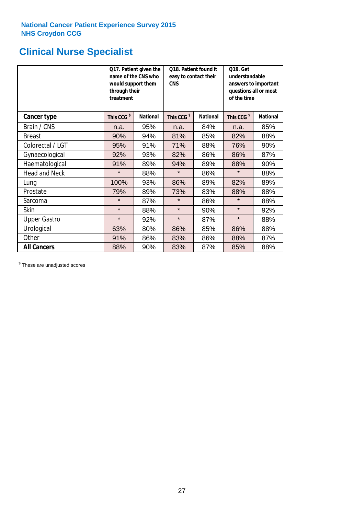## **Clinical Nurse Specialist**

|                      | would support them<br>through their<br>treatment | Q17. Patient given the<br>name of the CNS who | Q18. Patient found it<br>easy to contact their<br><b>CNS</b> |                 | <b>Q19. Get</b><br>understandable<br>answers to important<br>questions all or most<br>of the time |                 |
|----------------------|--------------------------------------------------|-----------------------------------------------|--------------------------------------------------------------|-----------------|---------------------------------------------------------------------------------------------------|-----------------|
| <b>Cancer type</b>   | This CCG <sup>\$</sup>                           | <b>National</b>                               | This CCG <sup>\$</sup>                                       | <b>National</b> | This CCG <sup>\$</sup>                                                                            | <b>National</b> |
| Brain / CNS          | n.a.                                             | 95%                                           | n.a.                                                         | 84%             | n.a.                                                                                              | 85%             |
| <b>Breast</b>        | 90%                                              | 94%                                           | 81%                                                          | 85%             | 82%                                                                                               | 88%             |
| Colorectal / LGT     | 95%                                              | 91%                                           | 71%                                                          | 88%             | 76%                                                                                               | 90%             |
| Gynaecological       | 92%                                              | 93%                                           | 82%                                                          | 86%             | 86%                                                                                               | 87%             |
| Haematological       | 91%                                              | 89%                                           | 94%                                                          | 89%             | 88%                                                                                               | 90%             |
| <b>Head and Neck</b> | $\star$                                          | 88%                                           | $\star$                                                      | 86%             | $\star$                                                                                           | 88%             |
| Lung                 | 100%                                             | 93%                                           | 86%                                                          | 89%             | 82%                                                                                               | 89%             |
| Prostate             | 79%                                              | 89%                                           | 73%                                                          | 83%             | 88%                                                                                               | 88%             |
| Sarcoma              | $\star$                                          | 87%                                           | $\star$                                                      | 86%             | $\star$                                                                                           | 88%             |
| Skin                 | $\star$                                          | 88%                                           | $\star$                                                      | 90%             | $\star$                                                                                           | 92%             |
| <b>Upper Gastro</b>  | $\star$                                          | 92%                                           | $\star$                                                      | 87%             | $\star$                                                                                           | 88%             |
| Urological           | 63%                                              | 80%                                           | 86%                                                          | 85%             | 86%                                                                                               | 88%             |
| Other                | 91%                                              | 86%                                           | 83%                                                          | 86%             | 88%                                                                                               | 87%             |
| <b>All Cancers</b>   | 88%                                              | 90%                                           | 83%                                                          | 87%             | 85%                                                                                               | 88%             |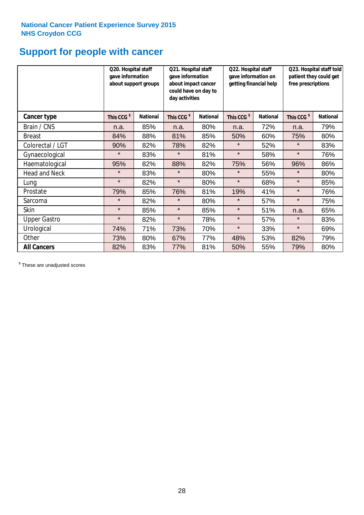## **Support for people with cancer**

|                      |                        | Q20. Hospital staff<br>Q21. Hospital staff<br>gave information<br>gave information<br>about support groups<br>about impact cancer<br>could have on day to<br>day activities |                        |                 | Q22. Hospital staff<br>gave information on<br>getting financial help |                 | Q23. Hospital staff told<br>patient they could get<br>free prescriptions |                 |
|----------------------|------------------------|-----------------------------------------------------------------------------------------------------------------------------------------------------------------------------|------------------------|-----------------|----------------------------------------------------------------------|-----------------|--------------------------------------------------------------------------|-----------------|
| <b>Cancer type</b>   | This CCG <sup>\$</sup> | <b>National</b>                                                                                                                                                             | This CCG <sup>\$</sup> | <b>National</b> | This CCG <sup>\$</sup>                                               | <b>National</b> | This CCG <sup>\$</sup>                                                   | <b>National</b> |
| Brain / CNS          | n.a.                   | 85%                                                                                                                                                                         | n.a.                   | 80%             | n.a.                                                                 | 72%             | n.a.                                                                     | 79%             |
| <b>Breast</b>        | 84%                    | 88%                                                                                                                                                                         | 81%                    | 85%             | 50%                                                                  | 60%             | 75%                                                                      | 80%             |
| Colorectal / LGT     | 90%                    | 82%                                                                                                                                                                         | 78%                    | 82%             | $\star$                                                              | 52%             | $\star$                                                                  | 83%             |
| Gynaecological       | $\star$                | 83%                                                                                                                                                                         | $\star$                | 81%             | $\star$                                                              | 58%             | $\star$                                                                  | 76%             |
| Haematological       | 95%                    | 82%                                                                                                                                                                         | 88%                    | 82%             | 75%                                                                  | 56%             | 96%                                                                      | 86%             |
| <b>Head and Neck</b> | $\star$                | 83%                                                                                                                                                                         | $\star$                | 80%             | $\star$                                                              | 55%             | $\star$                                                                  | 80%             |
| Lung                 | $\star$                | 82%                                                                                                                                                                         | $\star$                | 80%             | $\star$                                                              | 68%             | $\star$                                                                  | 85%             |
| Prostate             | 79%                    | 85%                                                                                                                                                                         | 76%                    | 81%             | 19%                                                                  | 41%             | $\star$                                                                  | 76%             |
| Sarcoma              | $\star$                | 82%                                                                                                                                                                         | $\star$                | 80%             | $\star$                                                              | 57%             | $\star$                                                                  | 75%             |
| Skin                 | $\star$                | 85%                                                                                                                                                                         | $\star$                | 85%             | $\star$                                                              | 51%             | n.a.                                                                     | 65%             |
| <b>Upper Gastro</b>  | $\star$                | 82%                                                                                                                                                                         | $\star$                | 78%             | $\star$                                                              | 57%             | $\star$                                                                  | 83%             |
| Urological           | 74%                    | 71%                                                                                                                                                                         | 73%                    | 70%             | $\star$                                                              | 33%             | $\star$                                                                  | 69%             |
| Other                | 73%                    | 80%                                                                                                                                                                         | 67%                    | 77%             | 48%                                                                  | 53%             | 82%                                                                      | 79%             |
| <b>All Cancers</b>   | 82%                    | 83%                                                                                                                                                                         | 77%                    | 81%             | 50%                                                                  | 55%             | 79%                                                                      | 80%             |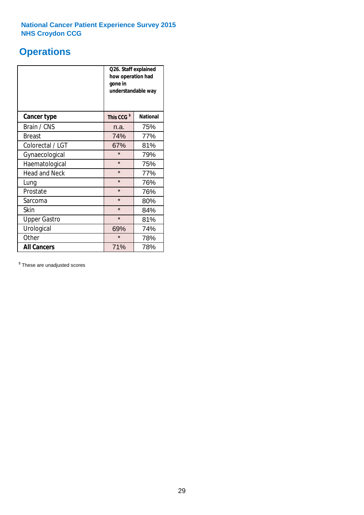## **Operations**

|                      | Q26. Staff explained<br>how operation had<br>gone in<br>understandable way |                 |  |  |  |
|----------------------|----------------------------------------------------------------------------|-----------------|--|--|--|
| <b>Cancer type</b>   | This CCG <sup>\$</sup>                                                     | <b>National</b> |  |  |  |
| Brain / CNS          | n.a.                                                                       | 75%             |  |  |  |
| <b>Breast</b>        | 74%                                                                        | 77%             |  |  |  |
| Colorectal / LGT     | 67%                                                                        | 81%             |  |  |  |
| Gynaecological       | $\star$                                                                    | 79%             |  |  |  |
| Haematological       | $\star$<br>75%                                                             |                 |  |  |  |
| <b>Head and Neck</b> | $\star$                                                                    | 77%             |  |  |  |
| Lung                 | $\star$                                                                    | 76%             |  |  |  |
| Prostate             | $\star$                                                                    | 76%             |  |  |  |
| Sarcoma              | $\star$                                                                    | 80%             |  |  |  |
| Skin                 | $\star$                                                                    | 84%             |  |  |  |
| <b>Upper Gastro</b>  | $\star$                                                                    | 81%             |  |  |  |
| Urological           | 69%                                                                        | 74%             |  |  |  |
| Other                | $\star$<br>78%                                                             |                 |  |  |  |
| <b>All Cancers</b>   | 71%<br>78%                                                                 |                 |  |  |  |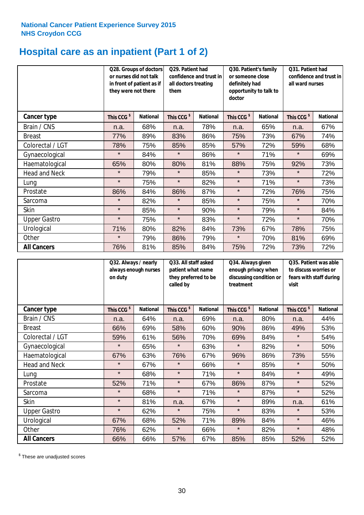## **Hospital care as an inpatient (Part 1 of 2)**

|                      | or nurses did not talk<br>they were not there | Q28. Groups of doctors<br>in front of patient as if | Q29. Patient had<br>confidence and trust in<br>all doctors treating<br>them |                 | Q30. Patient's family<br>or someone close<br>definitely had<br>opportunity to talk to<br>doctor |                 | Q31. Patient had<br>confidence and trust in I<br>all ward nurses |                 |
|----------------------|-----------------------------------------------|-----------------------------------------------------|-----------------------------------------------------------------------------|-----------------|-------------------------------------------------------------------------------------------------|-----------------|------------------------------------------------------------------|-----------------|
| <b>Cancer type</b>   | This CCG <sup>\$</sup>                        | <b>National</b>                                     | This CCG <sup>\$</sup>                                                      | <b>National</b> | This CCG <sup>\$</sup>                                                                          | <b>National</b> | This CCG <sup>\$</sup>                                           | <b>National</b> |
| Brain / CNS          | n.a.                                          | 68%                                                 | n.a.                                                                        | 78%             | n.a.                                                                                            | 65%             | n.a.                                                             | 67%             |
| <b>Breast</b>        | 77%                                           | 89%                                                 | 83%                                                                         | 86%             | 75%                                                                                             | 73%             | 67%                                                              | 74%             |
| Colorectal / LGT     | 78%                                           | 75%                                                 | 85%                                                                         | 85%             | 57%                                                                                             | 72%             | 59%                                                              | 68%             |
| Gynaecological       | $\star$                                       | 84%                                                 | $\star$                                                                     | 86%             | $\star$                                                                                         | 71%             | $\star$                                                          | 69%             |
| Haematological       | 65%                                           | 80%                                                 | 80%                                                                         | 81%             | 88%                                                                                             | 75%             | 92%                                                              | 73%             |
| <b>Head and Neck</b> | $\star$                                       | 79%                                                 | $\star$                                                                     | 85%             | $\star$                                                                                         | 73%             | $\star$                                                          | 72%             |
| Lung                 | $\star$                                       | 75%                                                 | $\star$                                                                     | 82%             | $\star$                                                                                         | 71%             | $\star$                                                          | 73%             |
| Prostate             | 86%                                           | 84%                                                 | 86%                                                                         | 87%             | $\star$                                                                                         | 72%             | 76%                                                              | 75%             |
| Sarcoma              | $\star$                                       | 82%                                                 | $\star$                                                                     | 85%             | $\star$                                                                                         | 75%             | $\star$                                                          | 70%             |
| Skin                 | $\star$                                       | 85%                                                 | $\star$                                                                     | 90%             | $\star$                                                                                         | 79%             | $\star$                                                          | 84%             |
| <b>Upper Gastro</b>  | $\star$                                       | 75%                                                 | $\star$                                                                     | 83%             | $\star$                                                                                         | 72%             | $\star$                                                          | 70%             |
| Urological           | 71%                                           | 80%                                                 | 82%                                                                         | 84%             | 73%                                                                                             | 67%             | 78%                                                              | 75%             |
| Other                | $\star$                                       | 79%                                                 | 86%                                                                         | 79%             | $\star$                                                                                         | 70%             | 81%                                                              | 69%             |
| <b>All Cancers</b>   | 76%                                           | 81%                                                 | 85%                                                                         | 84%             | 75%                                                                                             | 72%             | 73%                                                              | 72%             |

|                      | Q32. Always / nearly<br>always enough nurses<br>on duty |                 | Q33. All staff asked<br>patient what name<br>they preferred to be<br>called by |                 | Q34. Always given<br>enough privacy when<br>discussing condition or<br>treatment |                 | Q35. Patient was able<br>to discuss worries or<br>fears with staff during<br>visit |                 |
|----------------------|---------------------------------------------------------|-----------------|--------------------------------------------------------------------------------|-----------------|----------------------------------------------------------------------------------|-----------------|------------------------------------------------------------------------------------|-----------------|
| <b>Cancer type</b>   | This CCG <sup>\$</sup>                                  | <b>National</b> | This CCG <sup>\$</sup>                                                         | <b>National</b> | This CCG <sup>\$</sup>                                                           | <b>National</b> | This CCG <sup>\$</sup>                                                             | <b>National</b> |
| Brain / CNS          | n.a.                                                    | 64%             | n.a.                                                                           | 69%             | n.a.                                                                             | 80%             | n.a.                                                                               | 44%             |
| <b>Breast</b>        | 66%                                                     | 69%             | 58%                                                                            | 60%             | 90%                                                                              | 86%             | 49%                                                                                | 53%             |
| Colorectal / LGT     | 59%                                                     | 61%             | 56%                                                                            | 70%             | 69%                                                                              | 84%             | $\star$                                                                            | 54%             |
| Gynaecological       | $\star$                                                 | 65%             | $\star$                                                                        | 63%             | $\star$                                                                          | 82%             | $\star$                                                                            | 50%             |
| Haematological       | 67%                                                     | 63%             | 76%                                                                            | 67%             | 96%                                                                              | 86%             | 73%                                                                                | 55%             |
| <b>Head and Neck</b> | $\star$                                                 | 67%             | $\star$                                                                        | 66%             | $\star$                                                                          | 85%             | $\star$                                                                            | 50%             |
| Lung                 | $\star$                                                 | 68%             | $\star$                                                                        | 71%             | $\star$                                                                          | 84%             | $\star$                                                                            | 49%             |
| Prostate             | 52%                                                     | 71%             | $\star$                                                                        | 67%             | 86%                                                                              | 87%             | $\star$                                                                            | 52%             |
| Sarcoma              | $\star$                                                 | 68%             | $\star$                                                                        | 71%             | $\star$                                                                          | 87%             | $\star$                                                                            | 52%             |
| Skin                 | $\star$                                                 | 81%             | n.a.                                                                           | 67%             | $\star$                                                                          | 89%             | n.a.                                                                               | 61%             |
| <b>Upper Gastro</b>  | $\star$                                                 | 62%             | $\star$                                                                        | 75%             | $\star$                                                                          | 83%             | $\star$                                                                            | 53%             |
| Urological           | 67%                                                     | 68%             | 52%                                                                            | 71%             | 89%                                                                              | 84%             | $\star$                                                                            | 46%             |
| Other                | 76%                                                     | 62%             | $\star$                                                                        | 66%             | $\star$                                                                          | 82%             | $\star$                                                                            | 48%             |
| <b>All Cancers</b>   | 66%                                                     | 66%             | 57%                                                                            | 67%             | 85%                                                                              | 85%             | 52%                                                                                | 52%             |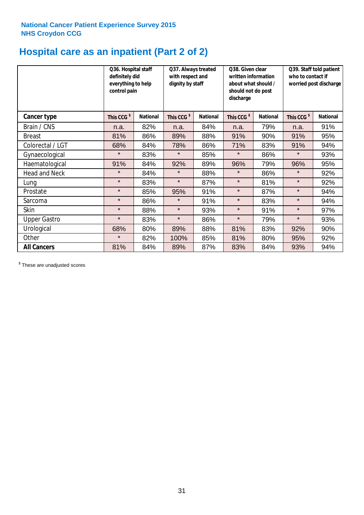# **Hospital care as an inpatient (Part 2 of 2)**

|                      | Q36. Hospital staff<br>definitely did<br>everything to help<br>control pain |                 | Q37. Always treated<br>with respect and<br>dignity by staff |                 | Q38. Given clear<br>written information<br>about what should /<br>should not do post<br>discharge |                 | Q39. Staff told patient<br>who to contact if<br>worried post discharge |                 |  |
|----------------------|-----------------------------------------------------------------------------|-----------------|-------------------------------------------------------------|-----------------|---------------------------------------------------------------------------------------------------|-----------------|------------------------------------------------------------------------|-----------------|--|
| Cancer type          | This CCG <sup>\$</sup>                                                      | <b>National</b> | This CCG <sup>\$</sup>                                      | <b>National</b> | This CCG <sup>\$</sup>                                                                            | <b>National</b> | This CCG <sup>\$</sup>                                                 | <b>National</b> |  |
| Brain / CNS          | n.a.                                                                        | 82%             | n.a.                                                        | 84%             | n.a.                                                                                              | 79%             | n.a.                                                                   | 91%             |  |
| <b>Breast</b>        | 81%                                                                         | 86%             | 89%                                                         | 88%             | 91%                                                                                               | 90%             | 91%                                                                    | 95%             |  |
| Colorectal / LGT     | 68%                                                                         | 84%             | 78%                                                         | 86%             | 71%                                                                                               | 83%             | 91%                                                                    | 94%             |  |
| Gynaecological       | $\star$                                                                     | 83%             | $\star$                                                     | 85%             | $\star$                                                                                           | 86%             | $\star$                                                                | 93%             |  |
| Haematological       | 91%                                                                         | 84%             | 92%                                                         | 89%             | 96%                                                                                               | 79%             | 96%                                                                    | 95%             |  |
| <b>Head and Neck</b> | $\star$                                                                     | 84%             | $\star$                                                     | 88%             | $\star$                                                                                           | 86%             | $\star$                                                                | 92%             |  |
| Lung                 | $\star$                                                                     | 83%             | $\star$                                                     | 87%             | $\star$                                                                                           | 81%             | $\star$                                                                | 92%             |  |
| Prostate             | $\star$                                                                     | 85%             | 95%                                                         | 91%             | $\star$                                                                                           | 87%             | $\star$                                                                | 94%             |  |
| Sarcoma              | $\star$                                                                     | 86%             | $\star$                                                     | 91%             | $\star$                                                                                           | 83%             | $\star$                                                                | 94%             |  |
| Skin                 | $\star$                                                                     | 88%             | $\star$                                                     | 93%             | $\star$                                                                                           | 91%             | $\star$                                                                | 97%             |  |
| <b>Upper Gastro</b>  | $\star$                                                                     | 83%             | $\star$                                                     | 86%             | $\star$                                                                                           | 79%             | $\star$                                                                | 93%             |  |
| Urological           | 68%                                                                         | 80%             | 89%                                                         | 88%             | 81%                                                                                               | 83%             | 92%                                                                    | 90%             |  |
| Other                | $\star$                                                                     | 82%             | 100%                                                        | 85%             | 81%                                                                                               | 80%             | 95%                                                                    | 92%             |  |
| <b>All Cancers</b>   | 81%                                                                         | 84%             | 89%                                                         | 87%             | 83%                                                                                               | 84%             | 93%                                                                    | 94%             |  |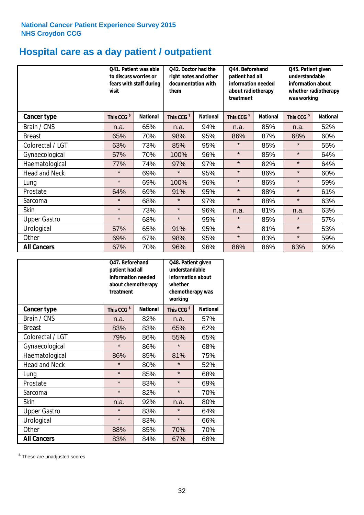## **Hospital care as a day patient / outpatient**

|                      | to discuss worries or<br>visit | Q41. Patient was able<br>fears with staff during | Q42. Doctor had the<br>right notes and other<br>documentation with<br>them |                 | Q44. Beforehand<br>patient had all<br>information needed<br>about radiotherapy<br>treatment |                 | Q45. Patient given<br>understandable<br>information about<br>whether radiotherapy<br>was working |                 |
|----------------------|--------------------------------|--------------------------------------------------|----------------------------------------------------------------------------|-----------------|---------------------------------------------------------------------------------------------|-----------------|--------------------------------------------------------------------------------------------------|-----------------|
| <b>Cancer type</b>   | This CCG <sup>\$</sup>         | <b>National</b>                                  | This CCG <sup>\$</sup>                                                     | <b>National</b> | This CCG <sup>\$</sup>                                                                      | <b>National</b> | This CCG <sup>\$</sup>                                                                           | <b>National</b> |
| Brain / CNS          | n.a.                           | 65%                                              | n.a.                                                                       | 94%             | n.a.                                                                                        | 85%             | n.a.                                                                                             | 52%             |
| <b>Breast</b>        | 65%                            | 70%                                              | 98%                                                                        | 95%             | 86%                                                                                         | 87%             | 68%                                                                                              | 60%             |
| Colorectal / LGT     | 63%                            | 73%                                              | 85%                                                                        | 95%             | $\star$                                                                                     | 85%             | $\star$                                                                                          | 55%             |
| Gynaecological       | 57%                            | 70%                                              | 100%                                                                       | 96%             | $\star$                                                                                     | 85%             | $\star$                                                                                          | 64%             |
| Haematological       | 77%                            | 74%                                              | 97%                                                                        | 97%             | $\star$                                                                                     | 82%             | $\star$                                                                                          | 64%             |
| <b>Head and Neck</b> | $\star$                        | 69%                                              | $\star$                                                                    | 95%             | $\star$                                                                                     | 86%             | $\star$                                                                                          | 60%             |
| Lung                 | $\star$                        | 69%                                              | 100%                                                                       | 96%             | $\star$                                                                                     | 86%             | $\star$                                                                                          | 59%             |
| Prostate             | 64%                            | 69%                                              | 91%                                                                        | 95%             | $\star$                                                                                     | 88%             | $\star$                                                                                          | 61%             |
| Sarcoma              | $\star$                        | 68%                                              | $\star$                                                                    | 97%             | $\star$                                                                                     | 88%             | $\star$                                                                                          | 63%             |
| Skin                 | $\star$                        | 73%                                              | $\star$                                                                    | 96%             | n.a.                                                                                        | 81%             | n.a.                                                                                             | 63%             |
| <b>Upper Gastro</b>  | $\star$                        | 68%                                              | $\star$                                                                    | 95%             | $\star$                                                                                     | 85%             | $\star$                                                                                          | 57%             |
| Urological           | 57%                            | 65%                                              | 91%                                                                        | 95%             | $\star$                                                                                     | 81%             | $\star$                                                                                          | 53%             |
| Other                | 69%                            | 67%                                              | 98%                                                                        | 95%             | $\star$                                                                                     | 83%             | $\star$                                                                                          | 59%             |
| <b>All Cancers</b>   | 67%                            | 70%                                              | 96%                                                                        | 96%             | 86%                                                                                         | 86%             | 63%                                                                                              | 60%             |

|                      | Q47. Beforehand<br>patient had all<br>information needed<br>about chemotherapy<br>treatment |                 | Q48. Patient given<br>understandable<br>information about<br>whether<br>chemotherapy was<br>working |                 |  |
|----------------------|---------------------------------------------------------------------------------------------|-----------------|-----------------------------------------------------------------------------------------------------|-----------------|--|
| <b>Cancer type</b>   | This CCG <sup>\$</sup>                                                                      | <b>National</b> | This CCG <sup>\$</sup>                                                                              | <b>National</b> |  |
| Brain / CNS          | n.a.                                                                                        | 82%             | n.a.                                                                                                | 57%             |  |
| <b>Breast</b>        | 83%                                                                                         | 83%             | 65%                                                                                                 | 62%             |  |
| Colorectal / LGT     | 79%                                                                                         | 86%             | 55%                                                                                                 | 65%             |  |
| Gynaecological       | $\star$                                                                                     | 86%             | $\star$                                                                                             | 68%             |  |
| Haematological       | 86%                                                                                         | 85%             |                                                                                                     | 75%             |  |
| <b>Head and Neck</b> | $\star$                                                                                     | 80%             | $\star$                                                                                             | 52%             |  |
| Lung                 | $\star$                                                                                     | 85%             | $\star$                                                                                             | 68%             |  |
| Prostate             | $\star$                                                                                     | 83%             | $\star$                                                                                             | 69%             |  |
| Sarcoma              | $\star$                                                                                     | 82%             | $\star$                                                                                             | 70%             |  |
| <b>Skin</b>          | n.a.                                                                                        | 92%             | n.a.                                                                                                | 80%             |  |
| <b>Upper Gastro</b>  | $\star$                                                                                     | 83%             | $\star$                                                                                             | 64%             |  |
| Urological           | $\star$                                                                                     | 83%             | $\star$                                                                                             | 66%             |  |
| Other                | 88%                                                                                         | 85%             | 70%                                                                                                 | 70%             |  |
| <b>All Cancers</b>   | 83%                                                                                         | 84%             | 67%                                                                                                 | 68%             |  |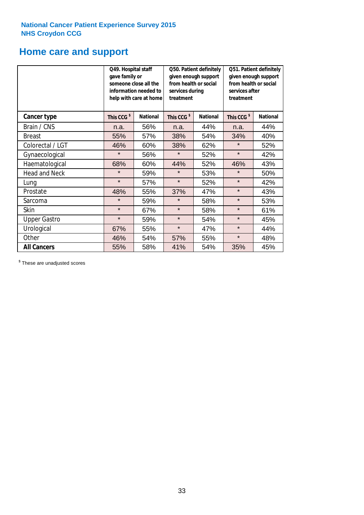### **Home care and support**

|                      |                        | Q49. Hospital staff<br>Q50. Patient definitely<br>given enough support<br>gave family or<br>from health or social<br>someone close all the<br>information needed to<br>services during<br>treatment<br>help with care at home |                        | Q51. Patient definitely<br>given enough support<br>from health or social<br>services after<br>treatment |                        |                 |
|----------------------|------------------------|-------------------------------------------------------------------------------------------------------------------------------------------------------------------------------------------------------------------------------|------------------------|---------------------------------------------------------------------------------------------------------|------------------------|-----------------|
| <b>Cancer type</b>   | This CCG <sup>\$</sup> | <b>National</b>                                                                                                                                                                                                               | This CCG <sup>\$</sup> | <b>National</b>                                                                                         | This CCG <sup>\$</sup> | <b>National</b> |
| Brain / CNS          | n.a.                   | 56%                                                                                                                                                                                                                           | n.a.                   | 44%                                                                                                     | n.a.                   | 44%             |
| <b>Breast</b>        | 55%                    | 57%                                                                                                                                                                                                                           | 38%                    | 54%                                                                                                     | 34%                    | 40%             |
| Colorectal / LGT     | 46%                    | 60%                                                                                                                                                                                                                           | 38%                    | 62%                                                                                                     | $\star$                | 52%             |
| Gynaecological       | $\star$                | 56%                                                                                                                                                                                                                           | $\star$<br>52%         |                                                                                                         | $\star$                | 42%             |
| Haematological       | 68%                    | 60%                                                                                                                                                                                                                           | 44%                    | 52%                                                                                                     | 46%                    | 43%             |
| <b>Head and Neck</b> | $\star$                | 59%                                                                                                                                                                                                                           | $\star$                | 53%                                                                                                     | $\star$                | 50%             |
| Lung                 | $\star$                | 57%                                                                                                                                                                                                                           | $\star$                | 52%                                                                                                     | $\star$                | 42%             |
| Prostate             | 48%                    | 55%                                                                                                                                                                                                                           | 37%                    | 47%                                                                                                     | $\star$                | 43%             |
| Sarcoma              | $\star$                | 59%                                                                                                                                                                                                                           | $\star$                | 58%                                                                                                     | $\star$                | 53%             |
| Skin                 | $\star$                | 67%                                                                                                                                                                                                                           | $\star$                | 58%                                                                                                     | $\star$                | 61%             |
| <b>Upper Gastro</b>  | $\star$                | 59%                                                                                                                                                                                                                           | $\star$                | 54%                                                                                                     | $\star$                | 45%             |
| Urological           | 67%                    | 55%                                                                                                                                                                                                                           | $\star$                | 47%                                                                                                     | $\star$                | 44%             |
| Other                | 46%                    | 54%                                                                                                                                                                                                                           | 57%                    | 55%                                                                                                     | $\star$                | 48%             |
| <b>All Cancers</b>   | 55%                    | 58%                                                                                                                                                                                                                           | 41%                    | 54%                                                                                                     | 35%                    | 45%             |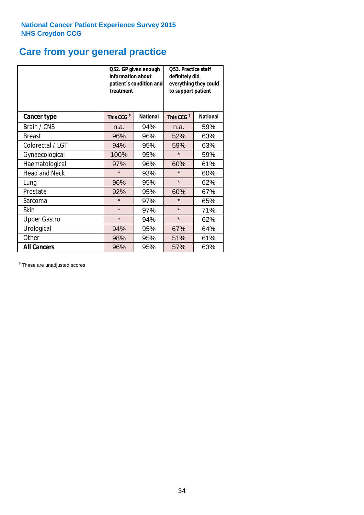## **Care from your general practice**

|                      | information about<br>treatment | Q52. GP given enough<br>patient's condition and | <b>O53. Practice staff</b><br>definitely did<br>everything they could<br>to support patient |                 |  |
|----------------------|--------------------------------|-------------------------------------------------|---------------------------------------------------------------------------------------------|-----------------|--|
| <b>Cancer type</b>   | This CCG <sup>\$</sup>         | <b>National</b>                                 | This CCG <sup>\$</sup>                                                                      | <b>National</b> |  |
| Brain / CNS          | n.a.                           | 94%                                             | n.a.                                                                                        | 59%             |  |
| <b>Breast</b>        | 96%                            | 96%                                             | 52%                                                                                         | 63%             |  |
| Colorectal / LGT     | 94%                            | 95%                                             | 59%                                                                                         | 63%             |  |
| Gynaecological       | 100%<br>95%                    |                                                 | $\star$                                                                                     | 59%             |  |
| Haematological       | 97%                            | 96%                                             | 60%                                                                                         | 61%             |  |
| <b>Head and Neck</b> | $\star$                        | 93%                                             | $\star$                                                                                     | 60%             |  |
| Lung                 | 96%                            | 95%                                             | $\star$                                                                                     | 62%             |  |
| Prostate             | 92%                            | 95%                                             | 60%                                                                                         | 67%             |  |
| Sarcoma              | $\star$                        | 97%                                             | $\star$                                                                                     | 65%             |  |
| Skin                 | $\star$                        | 97%                                             | $\star$                                                                                     | 71%             |  |
| <b>Upper Gastro</b>  | $\star$                        | 94%                                             | $\star$                                                                                     | 62%             |  |
| Urological           | 94%                            | 95%                                             | 67%                                                                                         | 64%             |  |
| Other                | 98%                            | 95%                                             | 51%                                                                                         | 61%             |  |
| <b>All Cancers</b>   | 96%                            | 95%                                             | 57%                                                                                         | 63%             |  |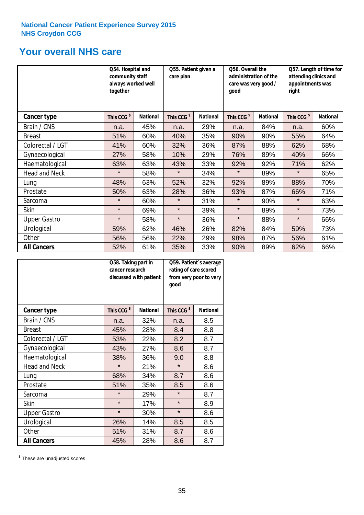### **Your overall NHS care**

|                      | Q54. Hospital and<br>community staff<br>always worked well<br>together |                 | Q55. Patient given a<br>care plan |                 | Q56. Overall the<br>administration of the<br>care was very good /<br>qood |                 | Q57. Length of time for<br>attending clinics and<br>appointments was<br>right |                 |
|----------------------|------------------------------------------------------------------------|-----------------|-----------------------------------|-----------------|---------------------------------------------------------------------------|-----------------|-------------------------------------------------------------------------------|-----------------|
| Cancer type          | This CCG <sup>\$</sup>                                                 | <b>National</b> | This CCG <sup>\$</sup>            | <b>National</b> | This CCG <sup>\$</sup>                                                    | <b>National</b> | This CCG <sup>\$</sup>                                                        | <b>National</b> |
| Brain / CNS          | n.a.                                                                   | 45%             | n.a.                              | 29%             | n.a.                                                                      | 84%             | n.a.                                                                          | 60%             |
| <b>Breast</b>        | 51%                                                                    | 60%             | 40%                               | 35%             | 90%                                                                       | 90%             | 55%                                                                           | 64%             |
| Colorectal / LGT     | 41%                                                                    | 60%             | 32%                               | 36%             | 87%                                                                       | 88%             | 62%                                                                           | 68%             |
| Gynaecological       | 27%                                                                    | 58%             | 10%                               | 29%             | 76%                                                                       | 89%             | 40%                                                                           | 66%             |
| Haematological       | 63%                                                                    | 63%             | 43%                               | 33%             | 92%                                                                       | 92%             | 71%                                                                           | 62%             |
| <b>Head and Neck</b> | $\star$                                                                | 58%             | $\star$                           | 34%             | $\star$                                                                   | 89%             | $\star$                                                                       | 65%             |
| Lung                 | 48%                                                                    | 63%             | 52%                               | 32%             | 92%                                                                       | 89%             | 88%                                                                           | 70%             |
| Prostate             | 50%                                                                    | 63%             | 28%                               | 36%             | 93%                                                                       | 87%             | 66%                                                                           | 71%             |
| Sarcoma              | $\star$                                                                | 60%             | $\star$                           | 31%             | $\star$                                                                   | 90%             | $\star$                                                                       | 63%             |
| Skin                 | $\star$                                                                | 69%             | $\star$                           | 39%             | $\star$                                                                   | 89%             | $\star$                                                                       | 73%             |
| <b>Upper Gastro</b>  | $\star$                                                                | 58%             | $\star$                           | 36%             | $\star$                                                                   | 88%             | $\star$                                                                       | 66%             |
| Urological           | 59%                                                                    | 62%             | 46%                               | 26%             | 82%                                                                       | 84%             | 59%                                                                           | 73%             |
| Other                | 56%                                                                    | 56%             | 22%                               | 29%             | 98%                                                                       | 87%             | 56%                                                                           | 61%             |
| <b>All Cancers</b>   | 52%                                                                    | 61%             | 35%                               | 33%             | 90%                                                                       | 89%             | 62%                                                                           | 66%             |

|                      | Q58. Taking part in<br>cancer research | discussed with patient | Q59. Patient's average<br>rating of care scored<br>from very poor to very<br>good |                 |  |
|----------------------|----------------------------------------|------------------------|-----------------------------------------------------------------------------------|-----------------|--|
| <b>Cancer type</b>   | This CCG <sup>\$</sup>                 | <b>National</b>        | This CCG <sup>\$</sup>                                                            | <b>National</b> |  |
| Brain / CNS          | n.a.                                   | 32%                    | n.a.                                                                              | 8.5             |  |
| <b>Breast</b>        | 45%                                    | 28%                    | 8.4                                                                               | 8.8             |  |
| Colorectal / LGT     | 53%                                    | 22%                    | 8.2                                                                               | 8.7             |  |
| Gynaecological       | 43%<br>27%                             |                        | 8.6                                                                               | 8.7             |  |
| Haematological       | 38%                                    | 36%                    | 9.0                                                                               | 8.8             |  |
| <b>Head and Neck</b> | $\star$                                | 21%                    | $\star$                                                                           | 8.6             |  |
| Lung                 | 68%                                    | 34%                    | 8.7                                                                               | 8.6             |  |
| Prostate             | 51%                                    | 35%                    | 8.5                                                                               | 8.6             |  |
| Sarcoma              | $\star$                                | 29%                    | $\star$                                                                           | 8.7             |  |
| Skin                 | $\star$                                | 17%                    | $\star$                                                                           | 8.9             |  |
| <b>Upper Gastro</b>  | $\star$                                | 30%                    | $\star$                                                                           | 8.6             |  |
| Urological           | 26%                                    | 14%                    | 8.5                                                                               | 8.5             |  |
| Other                | 51%                                    | 31%                    | 8.7                                                                               | 8.6             |  |
| <b>All Cancers</b>   | 45%                                    | 28%                    | 8.6                                                                               | 8.7             |  |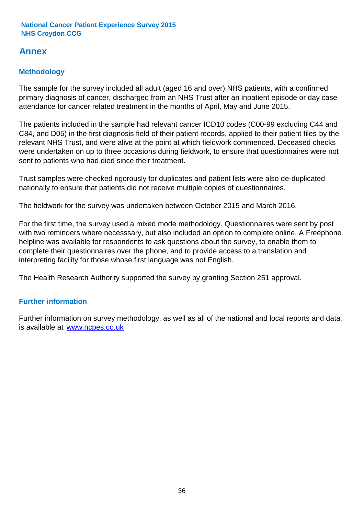### **Annex**

### **Methodology**

The sample for the survey included all adult (aged 16 and over) NHS patients, with a confirmed primary diagnosis of cancer, discharged from an NHS Trust after an inpatient episode or day case attendance for cancer related treatment in the months of April, May and June 2015.

The patients included in the sample had relevant cancer ICD10 codes (C00-99 excluding C44 and C84, and D05) in the first diagnosis field of their patient records, applied to their patient files by the relevant NHS Trust, and were alive at the point at which fieldwork commenced. Deceased checks were undertaken on up to three occasions during fieldwork, to ensure that questionnaires were not sent to patients who had died since their treatment.

Trust samples were checked rigorously for duplicates and patient lists were also de-duplicated nationally to ensure that patients did not receive multiple copies of questionnaires.

The fieldwork for the survey was undertaken between October 2015 and March 2016.

For the first time, the survey used a mixed mode methodology. Questionnaires were sent by post with two reminders where necesssary, but also included an option to complete online. A Freephone helpline was available for respondents to ask questions about the survey, to enable them to complete their questionnaires over the phone, and to provide access to a translation and interpreting facility for those whose first language was not English.

The Health Research Authority supported the survey by granting Section 251 approval.

#### **Further information**

Further information on survey methodology, as well as all of the national and local reports and data, is available at www.ncpes.co.uk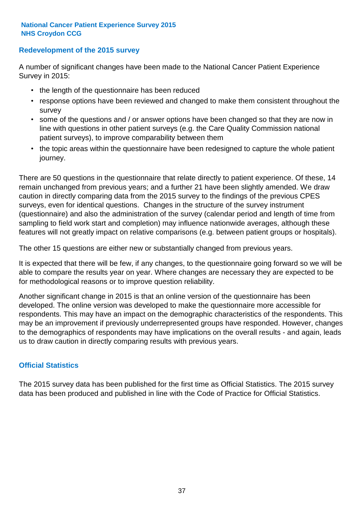#### **Redevelopment of the 2015 survey**

A number of significant changes have been made to the National Cancer Patient Experience Survey in 2015:

- the length of the questionnaire has been reduced
- response options have been reviewed and changed to make them consistent throughout the survey
- some of the questions and / or answer options have been changed so that they are now in line with questions in other patient surveys (e.g. the Care Quality Commission national patient surveys), to improve comparability between them
- the topic areas within the questionnaire have been redesigned to capture the whole patient journey.

There are 50 questions in the questionnaire that relate directly to patient experience. Of these, 14 remain unchanged from previous years; and a further 21 have been slightly amended. We draw caution in directly comparing data from the 2015 survey to the findings of the previous CPES surveys, even for identical questions. Changes in the structure of the survey instrument (questionnaire) and also the administration of the survey (calendar period and length of time from sampling to field work start and completion) may influence nationwide averages, although these features will not greatly impact on relative comparisons (e.g. between patient groups or hospitals).

The other 15 questions are either new or substantially changed from previous years.

It is expected that there will be few, if any changes, to the questionnaire going forward so we will be able to compare the results year on year. Where changes are necessary they are expected to be for methodological reasons or to improve question reliability.

Another significant change in 2015 is that an online version of the questionnaire has been developed. The online version was developed to make the questionnaire more accessible for respondents. This may have an impact on the demographic characteristics of the respondents. This may be an improvement if previously underrepresented groups have responded. However, changes to the demographics of respondents may have implications on the overall results - and again, leads us to draw caution in directly comparing results with previous years.

#### **Official Statistics**

The 2015 survey data has been published for the first time as Official Statistics. The 2015 survey data has been produced and published in line with the Code of Practice for Official Statistics.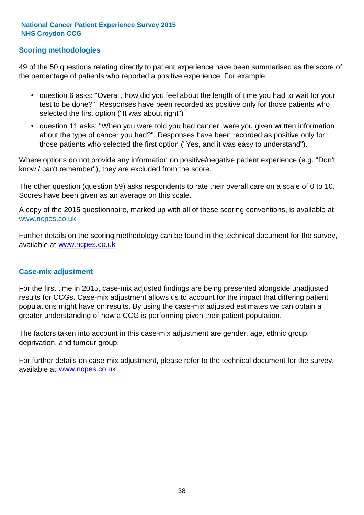#### **Scoring methodologies**

49 of the 50 questions relating directly to patient experience have been summarised as the score of the percentage of patients who reported a positive experience. For example:

- question 6 asks: "Overall, how did you feel about the length of time you had to wait for your test to be done?". Responses have been recorded as positive only for those patients who selected the first option ("It was about right")
- question 11 asks: "When you were told you had cancer, were you given written information about the type of cancer you had?". Responses have been recorded as positive only for those patients who selected the first option ("Yes, and it was easy to understand").

Where options do not provide any information on positive/negative patient experience (e.g. "Don't know / can't remember"), they are excluded from the score.

The other question (question 59) asks respondents to rate their overall care on a scale of 0 to 10. Scores have been given as an average on this scale.

A copy of the 2015 questionnaire, marked up with all of these scoring conventions, is available at www.ncpes.co.uk

Further details on the scoring methodology can be found in the technical document for the survey, available at <u>www.ncpes.co.uk</u>

#### **Case-mix adjustment**

For the first time in 2015, case-mix adjusted findings are being presented alongside unadjusted results for CCGs. Case-mix adjustment allows us to account for the impact that differing patient populations might have on results. By using the case-mix adjusted estimates we can obtain a greater understanding of how a CCG is performing given their patient population.

The factors taken into account in this case-mix adjustment are gender, age, ethnic group, deprivation, and tumour group.

For further details on case-mix adjustment, please refer to the technical document for the survey, available at www.ncpes.co.uk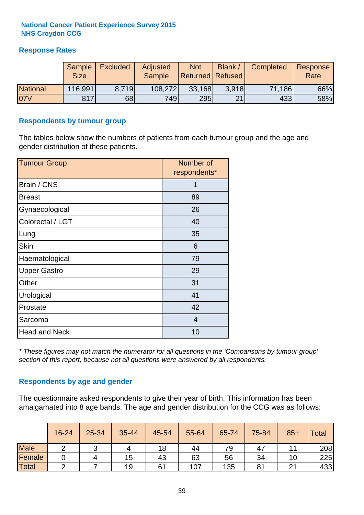#### **Response Rates**

|                 | Sample<br><b>Size</b> | <b>Excluded</b> | Adjusted<br><b>Sample</b> | <b>Not</b><br><b>Returned Refused</b> | Blank / | Completed | Response<br>Rate |
|-----------------|-----------------------|-----------------|---------------------------|---------------------------------------|---------|-----------|------------------|
| <b>National</b> | 116,991               | 8.719           | 108,272                   | 33,168                                | 3.918   | 71,186    | 66%              |
| 07V             | 817                   | 68              | 749                       | 295                                   | 21      | 433       | 58%              |

#### **Respondents by tumour group**

The tables below show the numbers of patients from each tumour group and the age and gender distribution of these patients.

| <b>Tumour Group</b>  | Number of<br>respondents* |  |  |
|----------------------|---------------------------|--|--|
| Brain / CNS          | 1                         |  |  |
| <b>Breast</b>        | 89                        |  |  |
| Gynaecological       | 26                        |  |  |
| Colorectal / LGT     | 40                        |  |  |
| Lung                 | 35                        |  |  |
| <b>Skin</b>          | 6                         |  |  |
| Haematological       | 79                        |  |  |
| <b>Upper Gastro</b>  | 29                        |  |  |
| Other                | 31                        |  |  |
| Urological           | 41                        |  |  |
| Prostate             | 42                        |  |  |
| Sarcoma              | $\overline{4}$            |  |  |
| <b>Head and Neck</b> | 10                        |  |  |

*\* These figures may not match the numerator for all questions in the 'Comparisons by tumour group' section of this report, because not all questions were answered by all respondents.*

#### **Respondents by age and gender**

The questionnaire asked respondents to give their year of birth. This information has been amalgamated into 8 age bands. The age and gender distribution for the CCG was as follows:

|             | 16-24 | $25 - 34$ | 35-44 | 45-54 | 55-64 | 65-74 | 75-84 | $85+$  | <b>Total</b> |
|-------------|-------|-----------|-------|-------|-------|-------|-------|--------|--------------|
| <b>Male</b> | ⌒     | ັ         |       | 18    | 44    | 79    | 47    |        | 208          |
| Female      |       |           | 15    | 43    | 63    | 56    | 34    | 10     | 225          |
| Total       |       |           | 19    | 61    | 107   | 135   | 81    | $\sim$ | 433          |